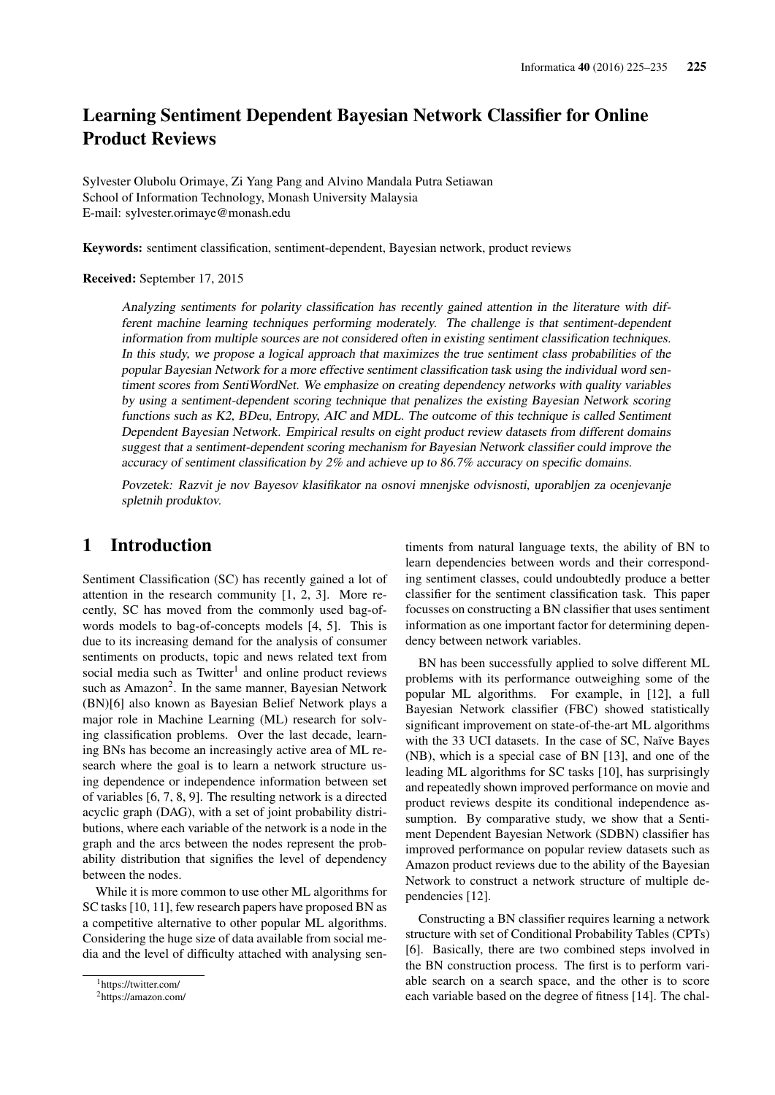# Learning Sentiment Dependent Bayesian Network Classifier for Online Product Reviews

Sylvester Olubolu Orimaye, Zi Yang Pang and Alvino Mandala Putra Setiawan School of Information Technology, Monash University Malaysia E-mail: sylvester.orimaye@monash.edu

Keywords: sentiment classification, sentiment-dependent, Bayesian network, product reviews

#### Received: September 17, 2015

Analyzing sentiments for polarity classification has recently gained attention in the literature with different machine learning techniques performing moderately. The challenge is that sentiment-dependent information from multiple sources are not considered often in existing sentiment classification techniques. In this study, we propose a logical approach that maximizes the true sentiment class probabilities of the popular Bayesian Network for a more effective sentiment classification task using the individual word sentiment scores from SentiWordNet. We emphasize on creating dependency networks with quality variables by using a sentiment-dependent scoring technique that penalizes the existing Bayesian Network scoring functions such as K2, BDeu, Entropy, AIC and MDL. The outcome of this technique is called Sentiment Dependent Bayesian Network. Empirical results on eight product review datasets from different domains suggest that a sentiment-dependent scoring mechanism for Bayesian Network classifier could improve the accuracy of sentiment classification by 2% and achieve up to 86.7% accuracy on specific domains.

Povzetek: Razvit je nov Bayesov klasifikator na osnovi mnenjske odvisnosti, uporabljen za ocenjevanje spletnih produktov.

### 1 Introduction

Sentiment Classification (SC) has recently gained a lot of attention in the research community [1, 2, 3]. More recently, SC has moved from the commonly used bag-ofwords models to bag-of-concepts models [4, 5]. This is due to its increasing demand for the analysis of consumer sentiments on products, topic and news related text from social media such as Twitter<sup>1</sup> and online product reviews such as Amazon<sup>2</sup>. In the same manner, Bayesian Network (BN)[6] also known as Bayesian Belief Network plays a major role in Machine Learning (ML) research for solving classification problems. Over the last decade, learning BNs has become an increasingly active area of ML research where the goal is to learn a network structure using dependence or independence information between set of variables [6, 7, 8, 9]. The resulting network is a directed acyclic graph (DAG), with a set of joint probability distributions, where each variable of the network is a node in the graph and the arcs between the nodes represent the probability distribution that signifies the level of dependency between the nodes.

While it is more common to use other ML algorithms for SC tasks [10, 11], few research papers have proposed BN as a competitive alternative to other popular ML algorithms. Considering the huge size of data available from social media and the level of difficulty attached with analysing sentiments from natural language texts, the ability of BN to learn dependencies between words and their corresponding sentiment classes, could undoubtedly produce a better classifier for the sentiment classification task. This paper focusses on constructing a BN classifier that uses sentiment information as one important factor for determining dependency between network variables.

BN has been successfully applied to solve different ML problems with its performance outweighing some of the popular ML algorithms. For example, in [12], a full Bayesian Network classifier (FBC) showed statistically significant improvement on state-of-the-art ML algorithms with the 33 UCI datasets. In the case of SC, Naïve Bayes (NB), which is a special case of BN [13], and one of the leading ML algorithms for SC tasks [10], has surprisingly and repeatedly shown improved performance on movie and product reviews despite its conditional independence assumption. By comparative study, we show that a Sentiment Dependent Bayesian Network (SDBN) classifier has improved performance on popular review datasets such as Amazon product reviews due to the ability of the Bayesian Network to construct a network structure of multiple dependencies [12].

Constructing a BN classifier requires learning a network structure with set of Conditional Probability Tables (CPTs) [6]. Basically, there are two combined steps involved in the BN construction process. The first is to perform variable search on a search space, and the other is to score each variable based on the degree of fitness [14]. The chal-

<sup>1</sup>https://twitter.com/

<sup>2</sup>https://amazon.com/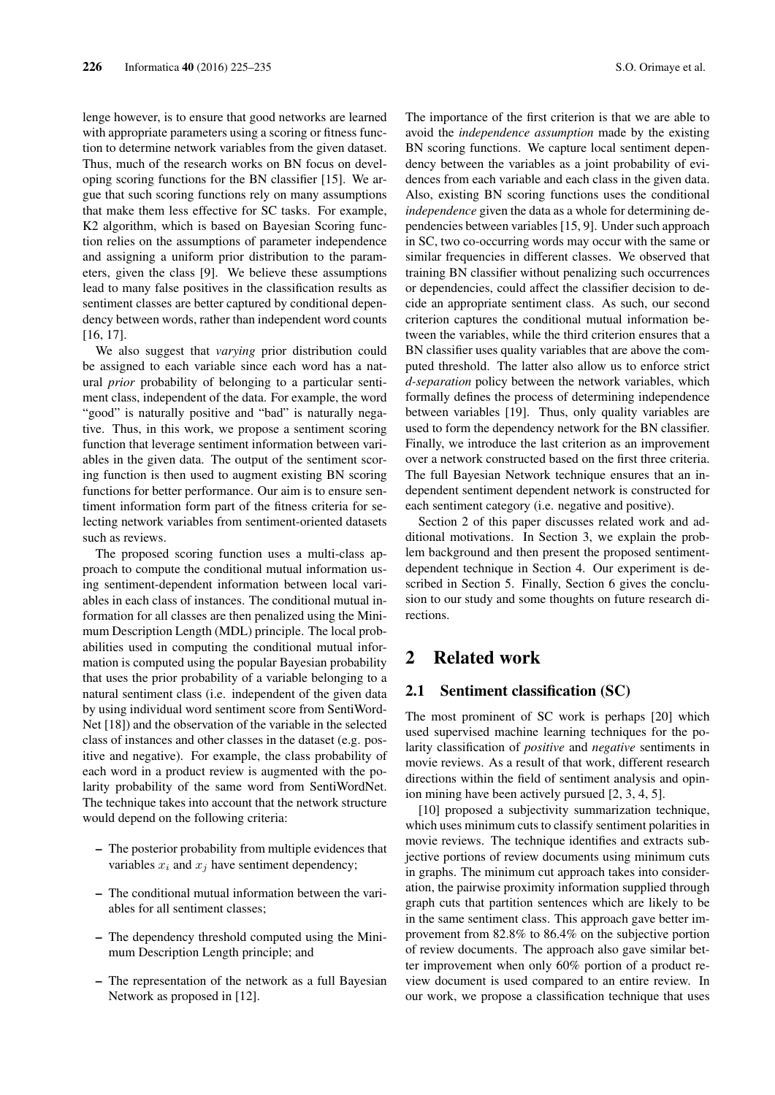lenge however, is to ensure that good networks are learned with appropriate parameters using a scoring or fitness function to determine network variables from the given dataset. Thus, much of the research works on BN focus on developing scoring functions for the BN classifier [15]. We argue that such scoring functions rely on many assumptions that make them less effective for SC tasks. For example, K2 algorithm, which is based on Bayesian Scoring function relies on the assumptions of parameter independence and assigning a uniform prior distribution to the parameters, given the class [9]. We believe these assumptions lead to many false positives in the classification results as sentiment classes are better captured by conditional dependency between words, rather than independent word counts [16, 17].

We also suggest that *varying* prior distribution could be assigned to each variable since each word has a natural *prior* probability of belonging to a particular sentiment class, independent of the data. For example, the word "good" is naturally positive and "bad" is naturally negative. Thus, in this work, we propose a sentiment scoring function that leverage sentiment information between variables in the given data. The output of the sentiment scoring function is then used to augment existing BN scoring functions for better performance. Our aim is to ensure sentiment information form part of the fitness criteria for selecting network variables from sentiment-oriented datasets such as reviews.

The proposed scoring function uses a multi-class approach to compute the conditional mutual information using sentiment-dependent information between local variables in each class of instances. The conditional mutual information for all classes are then penalized using the Minimum Description Length (MDL) principle. The local probabilities used in computing the conditional mutual information is computed using the popular Bayesian probability that uses the prior probability of a variable belonging to a natural sentiment class (i.e. independent of the given data by using individual word sentiment score from SentiWord-Net [18]) and the observation of the variable in the selected class of instances and other classes in the dataset (e.g. positive and negative). For example, the class probability of each word in a product review is augmented with the polarity probability of the same word from SentiWordNet. The technique takes into account that the network structure would depend on the following criteria:

- The posterior probability from multiple evidences that variables  $x_i$  and  $x_j$  have sentiment dependency;
- The conditional mutual information between the variables for all sentiment classes;
- The dependency threshold computed using the Minimum Description Length principle; and
- The representation of the network as a full Bayesian Network as proposed in [12].

The importance of the first criterion is that we are able to avoid the *independence assumption* made by the existing BN scoring functions. We capture local sentiment dependency between the variables as a joint probability of evidences from each variable and each class in the given data. Also, existing BN scoring functions uses the conditional *independence* given the data as a whole for determining dependencies between variables [15, 9]. Under such approach in SC, two co-occurring words may occur with the same or similar frequencies in different classes. We observed that training BN classifier without penalizing such occurrences or dependencies, could affect the classifier decision to decide an appropriate sentiment class. As such, our second criterion captures the conditional mutual information between the variables, while the third criterion ensures that a BN classifier uses quality variables that are above the computed threshold. The latter also allow us to enforce strict *d-separation* policy between the network variables, which formally defines the process of determining independence between variables [19]. Thus, only quality variables are used to form the dependency network for the BN classifier. Finally, we introduce the last criterion as an improvement over a network constructed based on the first three criteria. The full Bayesian Network technique ensures that an independent sentiment dependent network is constructed for each sentiment category (i.e. negative and positive).

Section 2 of this paper discusses related work and additional motivations. In Section 3, we explain the problem background and then present the proposed sentimentdependent technique in Section 4. Our experiment is described in Section 5. Finally, Section 6 gives the conclusion to our study and some thoughts on future research directions.

# 2 Related work

### 2.1 Sentiment classification (SC)

The most prominent of SC work is perhaps [20] which used supervised machine learning techniques for the polarity classification of *positive* and *negative* sentiments in movie reviews. As a result of that work, different research directions within the field of sentiment analysis and opinion mining have been actively pursued [2, 3, 4, 5].

[10] proposed a subjectivity summarization technique, which uses minimum cuts to classify sentiment polarities in movie reviews. The technique identifies and extracts subjective portions of review documents using minimum cuts in graphs. The minimum cut approach takes into consideration, the pairwise proximity information supplied through graph cuts that partition sentences which are likely to be in the same sentiment class. This approach gave better improvement from 82.8% to 86.4% on the subjective portion of review documents. The approach also gave similar better improvement when only 60% portion of a product review document is used compared to an entire review. In our work, we propose a classification technique that uses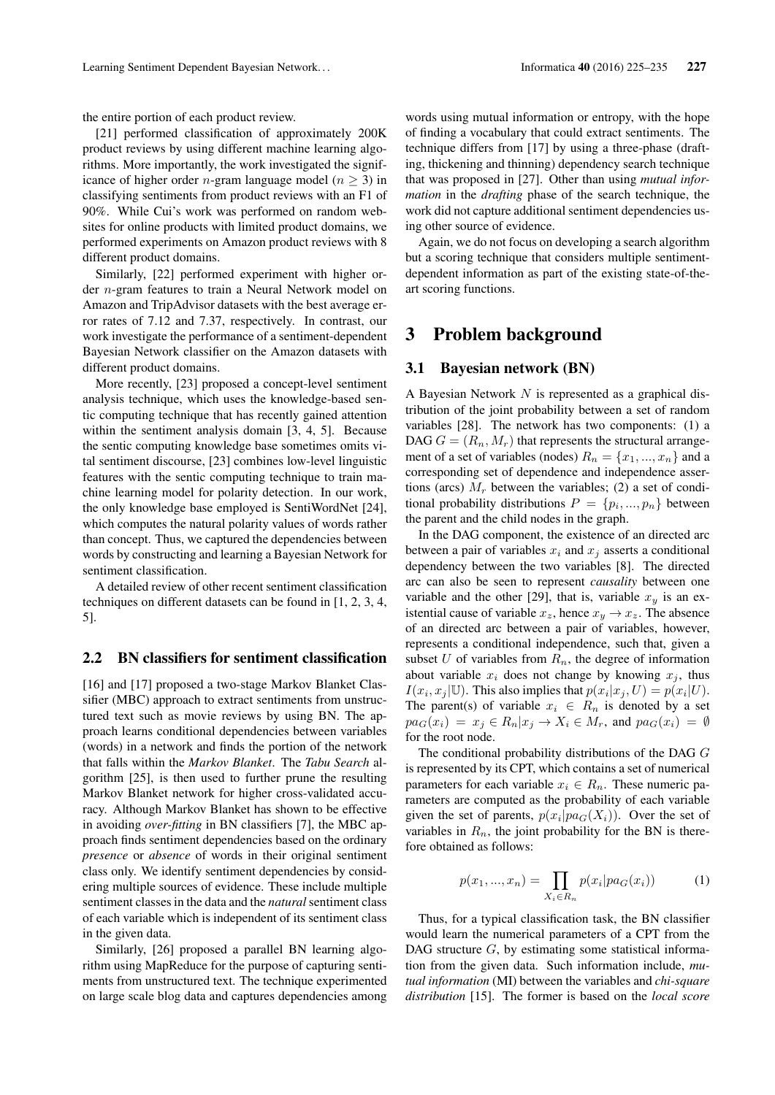the entire portion of each product review.

[21] performed classification of approximately 200K product reviews by using different machine learning algorithms. More importantly, the work investigated the significance of higher order *n*-gram language model ( $n \geq 3$ ) in classifying sentiments from product reviews with an F1 of 90%. While Cui's work was performed on random websites for online products with limited product domains, we performed experiments on Amazon product reviews with 8 different product domains.

Similarly, [22] performed experiment with higher order n-gram features to train a Neural Network model on Amazon and TripAdvisor datasets with the best average error rates of 7.12 and 7.37, respectively. In contrast, our work investigate the performance of a sentiment-dependent Bayesian Network classifier on the Amazon datasets with different product domains.

More recently, [23] proposed a concept-level sentiment analysis technique, which uses the knowledge-based sentic computing technique that has recently gained attention within the sentiment analysis domain [3, 4, 5]. Because the sentic computing knowledge base sometimes omits vital sentiment discourse, [23] combines low-level linguistic features with the sentic computing technique to train machine learning model for polarity detection. In our work, the only knowledge base employed is SentiWordNet [24], which computes the natural polarity values of words rather than concept. Thus, we captured the dependencies between words by constructing and learning a Bayesian Network for sentiment classification.

A detailed review of other recent sentiment classification techniques on different datasets can be found in [1, 2, 3, 4, 5].

#### 2.2 BN classifiers for sentiment classification

[16] and [17] proposed a two-stage Markov Blanket Classifier (MBC) approach to extract sentiments from unstructured text such as movie reviews by using BN. The approach learns conditional dependencies between variables (words) in a network and finds the portion of the network that falls within the *Markov Blanket*. The *Tabu Search* algorithm [25], is then used to further prune the resulting Markov Blanket network for higher cross-validated accuracy. Although Markov Blanket has shown to be effective in avoiding *over-fitting* in BN classifiers [7], the MBC approach finds sentiment dependencies based on the ordinary *presence* or *absence* of words in their original sentiment class only. We identify sentiment dependencies by considering multiple sources of evidence. These include multiple sentiment classes in the data and the *natural* sentiment class of each variable which is independent of its sentiment class in the given data.

Similarly, [26] proposed a parallel BN learning algorithm using MapReduce for the purpose of capturing sentiments from unstructured text. The technique experimented on large scale blog data and captures dependencies among words using mutual information or entropy, with the hope of finding a vocabulary that could extract sentiments. The technique differs from [17] by using a three-phase (drafting, thickening and thinning) dependency search technique that was proposed in [27]. Other than using *mutual information* in the *drafting* phase of the search technique, the work did not capture additional sentiment dependencies using other source of evidence.

Again, we do not focus on developing a search algorithm but a scoring technique that considers multiple sentimentdependent information as part of the existing state-of-theart scoring functions.

### 3 Problem background

#### 3.1 Bayesian network (BN)

A Bayesian Network N is represented as a graphical distribution of the joint probability between a set of random variables [28]. The network has two components: (1) a DAG  $G = (R_n, M_r)$  that represents the structural arrangement of a set of variables (nodes)  $R_n = \{x_1, ..., x_n\}$  and a corresponding set of dependence and independence assertions (arcs)  $M_r$  between the variables; (2) a set of conditional probability distributions  $P = \{p_i, ..., p_n\}$  between the parent and the child nodes in the graph.

In the DAG component, the existence of an directed arc between a pair of variables  $x_i$  and  $x_j$  asserts a conditional dependency between the two variables [8]. The directed arc can also be seen to represent *causality* between one variable and the other [29], that is, variable  $x<sub>y</sub>$  is an existential cause of variable  $x_z$ , hence  $x_y \rightarrow x_z$ . The absence of an directed arc between a pair of variables, however, represents a conditional independence, such that, given a subset U of variables from  $R_n$ , the degree of information about variable  $x_i$  does not change by knowing  $x_j$ , thus  $I(x_i, x_j | U)$ . This also implies that  $p(x_i | x_j, U) = p(x_i | U)$ . The parent(s) of variable  $x_i \in R_n$  is denoted by a set  $pa_G(x_i) = x_i \in R_n | x_i \to X_i \in M_r$ , and  $pa_G(x_i) = \emptyset$ for the root node.

The conditional probability distributions of the DAG G is represented by its CPT, which contains a set of numerical parameters for each variable  $x_i \in R_n$ . These numeric parameters are computed as the probability of each variable given the set of parents,  $p(x_i|pa_G(X_i))$ . Over the set of variables in  $R_n$ , the joint probability for the BN is therefore obtained as follows:

$$
p(x_1, ..., x_n) = \prod_{X_i \in R_n} p(x_i | pa_G(x_i))
$$
 (1)

Thus, for a typical classification task, the BN classifier would learn the numerical parameters of a CPT from the DAG structure  $G$ , by estimating some statistical information from the given data. Such information include, *mutual information* (MI) between the variables and *chi-square distribution* [15]. The former is based on the *local score*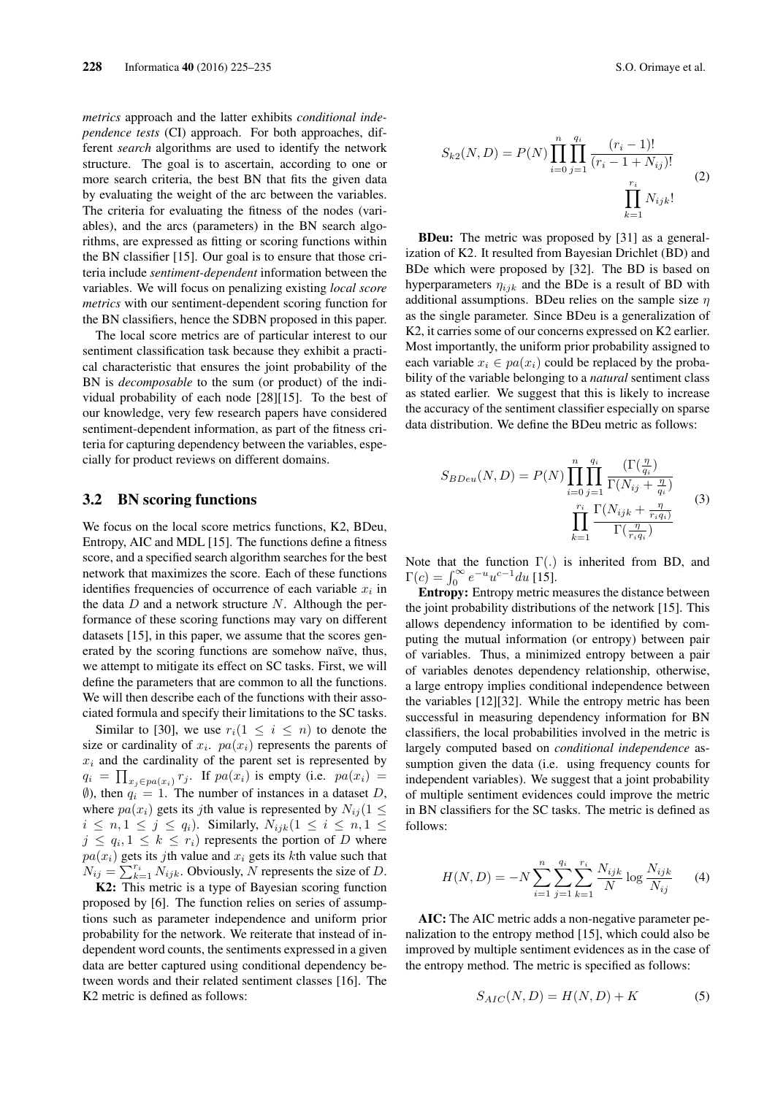*metrics* approach and the latter exhibits *conditional independence tests* (CI) approach. For both approaches, different *search* algorithms are used to identify the network structure. The goal is to ascertain, according to one or more search criteria, the best BN that fits the given data by evaluating the weight of the arc between the variables. The criteria for evaluating the fitness of the nodes (variables), and the arcs (parameters) in the BN search algorithms, are expressed as fitting or scoring functions within the BN classifier [15]. Our goal is to ensure that those criteria include *sentiment-dependent* information between the variables. We will focus on penalizing existing *local score metrics* with our sentiment-dependent scoring function for the BN classifiers, hence the SDBN proposed in this paper.

The local score metrics are of particular interest to our sentiment classification task because they exhibit a practical characteristic that ensures the joint probability of the BN is *decomposable* to the sum (or product) of the individual probability of each node [28][15]. To the best of our knowledge, very few research papers have considered sentiment-dependent information, as part of the fitness criteria for capturing dependency between the variables, especially for product reviews on different domains.

#### 3.2 BN scoring functions

We focus on the local score metrics functions, K2, BDeu, Entropy, AIC and MDL [15]. The functions define a fitness score, and a specified search algorithm searches for the best network that maximizes the score. Each of these functions identifies frequencies of occurrence of each variable  $x_i$  in the data  $D$  and a network structure  $N$ . Although the performance of these scoring functions may vary on different datasets [15], in this paper, we assume that the scores generated by the scoring functions are somehow naïve, thus, we attempt to mitigate its effect on SC tasks. First, we will define the parameters that are common to all the functions. We will then describe each of the functions with their associated formula and specify their limitations to the SC tasks.

Similar to [30], we use  $r_i(1 \leq i \leq n)$  to denote the size or cardinality of  $x_i$ .  $pa(x_i)$  represents the parents of  $x_i$  and the cardinality of the parent set is represented by  $q_i = \prod_{x_j \in pa(x_i)} r_j$ . If  $pa(x_i)$  is empty (i.e.  $pa(x_i) =$ (0), then  $q_i = 1$ . The number of instances in a dataset D, where  $pa(x_i)$  gets its jth value is represented by  $N_{ii}$  (1  $\leq$  $i \leq n, 1 \leq j \leq q_i$ ). Similarly,  $N_{ijk}$  $(1 \leq i \leq n, 1 \leq j \leq n)$  $j \leq q_i, 1 \leq k \leq r_i$  represents the portion of D where  $pa(x_i)$  gets its jth value and  $x_i$  gets its kth value such that  $N_{ij} = \sum_{k=1}^{r_i} N_{ijk}$ . Obviously, N represents the size of D.

K2: This metric is a type of Bayesian scoring function proposed by [6]. The function relies on series of assumptions such as parameter independence and uniform prior probability for the network. We reiterate that instead of independent word counts, the sentiments expressed in a given data are better captured using conditional dependency between words and their related sentiment classes [16]. The K2 metric is defined as follows:

$$
S_{k2}(N,D) = P(N) \prod_{i=0}^{n} \prod_{j=1}^{q_i} \frac{(r_i - 1)!}{(r_i - 1 + N_{ij})!}
$$
  

$$
\prod_{k=1}^{r_i} N_{ijk}!
$$
 (2)

BDeu: The metric was proposed by [31] as a generalization of K2. It resulted from Bayesian Drichlet (BD) and BDe which were proposed by [32]. The BD is based on hyperparameters  $\eta_{ijk}$  and the BDe is a result of BD with additional assumptions. BDeu relies on the sample size  $\eta$ as the single parameter. Since BDeu is a generalization of K2, it carries some of our concerns expressed on K2 earlier. Most importantly, the uniform prior probability assigned to each variable  $x_i \in pa(x_i)$  could be replaced by the probability of the variable belonging to a *natural* sentiment class as stated earlier. We suggest that this is likely to increase the accuracy of the sentiment classifier especially on sparse data distribution. We define the BDeu metric as follows:

$$
S_{BDeu}(N,D) = P(N) \prod_{i=0}^{n} \prod_{j=1}^{q_i} \frac{\left(\Gamma(\frac{\eta}{q_i})\right)}{\Gamma(N_{ij} + \frac{\eta}{q_i})}
$$

$$
\prod_{k=1}^{r_i} \frac{\Gamma(N_{ijk} + \frac{\eta}{r_i q_i})}{\Gamma(\frac{\eta}{r_i q_i})}
$$
(3)

Note that the function  $\Gamma(.)$  is inherited from BD, and  $\Gamma(c) = \int_0^\infty e^{-u} u^{c-1} du$  [15].

Entropy: Entropy metric measures the distance between the joint probability distributions of the network [15]. This allows dependency information to be identified by computing the mutual information (or entropy) between pair of variables. Thus, a minimized entropy between a pair of variables denotes dependency relationship, otherwise, a large entropy implies conditional independence between the variables [12][32]. While the entropy metric has been successful in measuring dependency information for BN classifiers, the local probabilities involved in the metric is largely computed based on *conditional independence* assumption given the data (i.e. using frequency counts for independent variables). We suggest that a joint probability of multiple sentiment evidences could improve the metric in BN classifiers for the SC tasks. The metric is defined as follows:

$$
H(N, D) = -N \sum_{i=1}^{n} \sum_{j=1}^{q_i} \sum_{k=1}^{r_i} \frac{N_{ijk}}{N} \log \frac{N_{ijk}}{N_{ij}} \tag{4}
$$

AIC: The AIC metric adds a non-negative parameter penalization to the entropy method [15], which could also be improved by multiple sentiment evidences as in the case of the entropy method. The metric is specified as follows:

$$
S_{AIC}(N, D) = H(N, D) + K \tag{5}
$$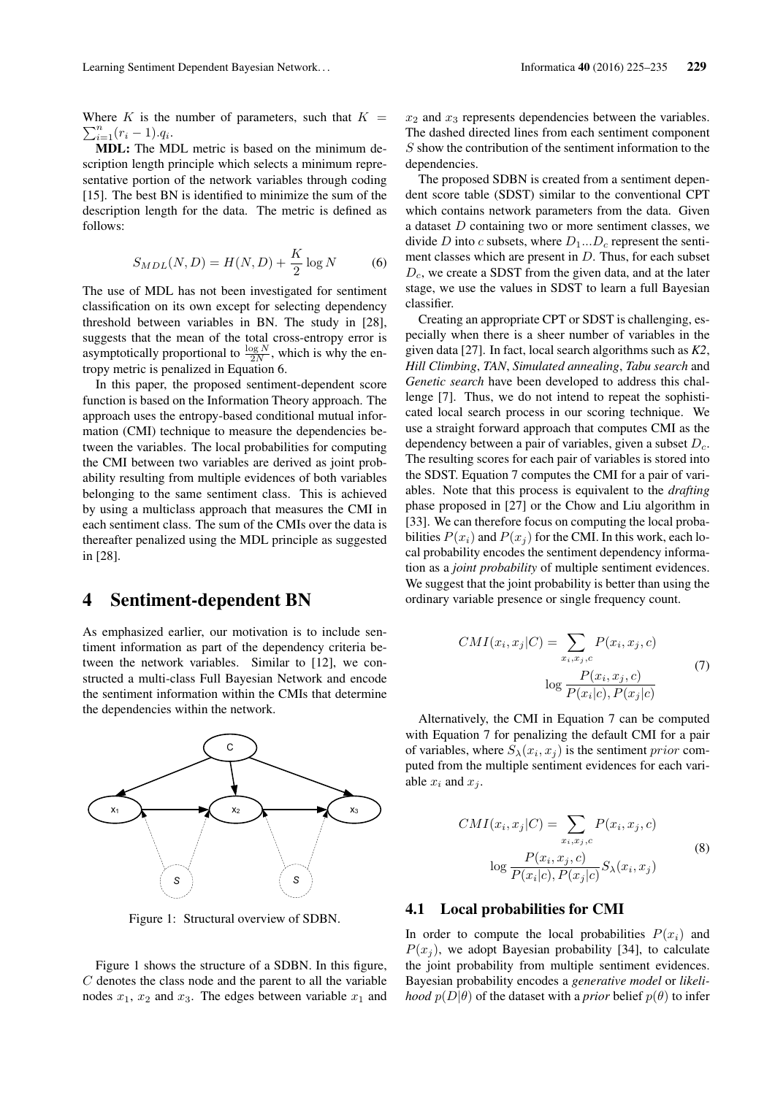Where K is the number of parameters, such that  $K =$  $\sum_{i=1}^{n} (r_i - 1).q_i.$ 

MDL: The MDL metric is based on the minimum description length principle which selects a minimum representative portion of the network variables through coding [15]. The best BN is identified to minimize the sum of the description length for the data. The metric is defined as follows:

$$
S_{MDL}(N, D) = H(N, D) + \frac{K}{2}\log N \tag{6}
$$

The use of MDL has not been investigated for sentiment classification on its own except for selecting dependency threshold between variables in BN. The study in [28], suggests that the mean of the total cross-entropy error is asymptotically proportional to  $\frac{\log N}{2N}$ , which is why the entropy metric is penalized in Equation 6.

In this paper, the proposed sentiment-dependent score function is based on the Information Theory approach. The approach uses the entropy-based conditional mutual information (CMI) technique to measure the dependencies between the variables. The local probabilities for computing the CMI between two variables are derived as joint probability resulting from multiple evidences of both variables belonging to the same sentiment class. This is achieved by using a multiclass approach that measures the CMI in each sentiment class. The sum of the CMIs over the data is thereafter penalized using the MDL principle as suggested in [28].

### 4 Sentiment-dependent BN

As emphasized earlier, our motivation is to include sentiment information as part of the dependency criteria between the network variables. Similar to [12], we constructed a multi-class Full Bayesian Network and encode the sentiment information within the CMIs that determine the dependencies within the network.



Figure 1: Structural overview of SDBN.

Figure 1 shows the structure of a SDBN. In this figure,  $C$  denotes the class node and the parent to all the variable nodes  $x_1$ ,  $x_2$  and  $x_3$ . The edges between variable  $x_1$  and  $x_2$  and  $x_3$  represents dependencies between the variables. The dashed directed lines from each sentiment component S show the contribution of the sentiment information to the dependencies.

The proposed SDBN is created from a sentiment dependent score table (SDST) similar to the conventional CPT which contains network parameters from the data. Given a dataset D containing two or more sentiment classes, we divide D into c subsets, where  $D_1...D_c$  represent the sentiment classes which are present in  $D$ . Thus, for each subset  $D<sub>c</sub>$ , we create a SDST from the given data, and at the later stage, we use the values in SDST to learn a full Bayesian classifier.

Creating an appropriate CPT or SDST is challenging, especially when there is a sheer number of variables in the given data [27]. In fact, local search algorithms such as *K2*, *Hill Climbing*, *TAN*, *Simulated annealing*, *Tabu search* and *Genetic search* have been developed to address this challenge [7]. Thus, we do not intend to repeat the sophisticated local search process in our scoring technique. We use a straight forward approach that computes CMI as the dependency between a pair of variables, given a subset  $D<sub>c</sub>$ . The resulting scores for each pair of variables is stored into the SDST. Equation 7 computes the CMI for a pair of variables. Note that this process is equivalent to the *drafting* phase proposed in [27] or the Chow and Liu algorithm in [33]. We can therefore focus on computing the local probabilities  $P(x_i)$  and  $P(x_j)$  for the CMI. In this work, each local probability encodes the sentiment dependency information as a *joint probability* of multiple sentiment evidences. We suggest that the joint probability is better than using the ordinary variable presence or single frequency count.

$$
CMI(x_i, x_j|C) = \sum_{x_i, x_j, c} P(x_i, x_j, c)
$$

$$
\log \frac{P(x_i, x_j, c)}{P(x_i|c), P(x_j|c)}
$$
(7)

Alternatively, the CMI in Equation 7 can be computed with Equation 7 for penalizing the default CMI for a pair of variables, where  $S_{\lambda}(x_i, x_j)$  is the sentiment *prior* computed from the multiple sentiment evidences for each variable  $x_i$  and  $x_j$ .

$$
CMI(x_i, x_j|C) = \sum_{x_i, x_j, c} P(x_i, x_j, c)
$$
  

$$
\log \frac{P(x_i, x_j, c)}{P(x_i|c), P(x_j|c)} S_{\lambda}(x_i, x_j)
$$
 (8)

### 4.1 Local probabilities for CMI

In order to compute the local probabilities  $P(x_i)$  and  $P(x_i)$ , we adopt Bayesian probability [34], to calculate the joint probability from multiple sentiment evidences. Bayesian probability encodes a *generative model* or *likelihood*  $p(D|\theta)$  of the dataset with a *prior* belief  $p(\theta)$  to infer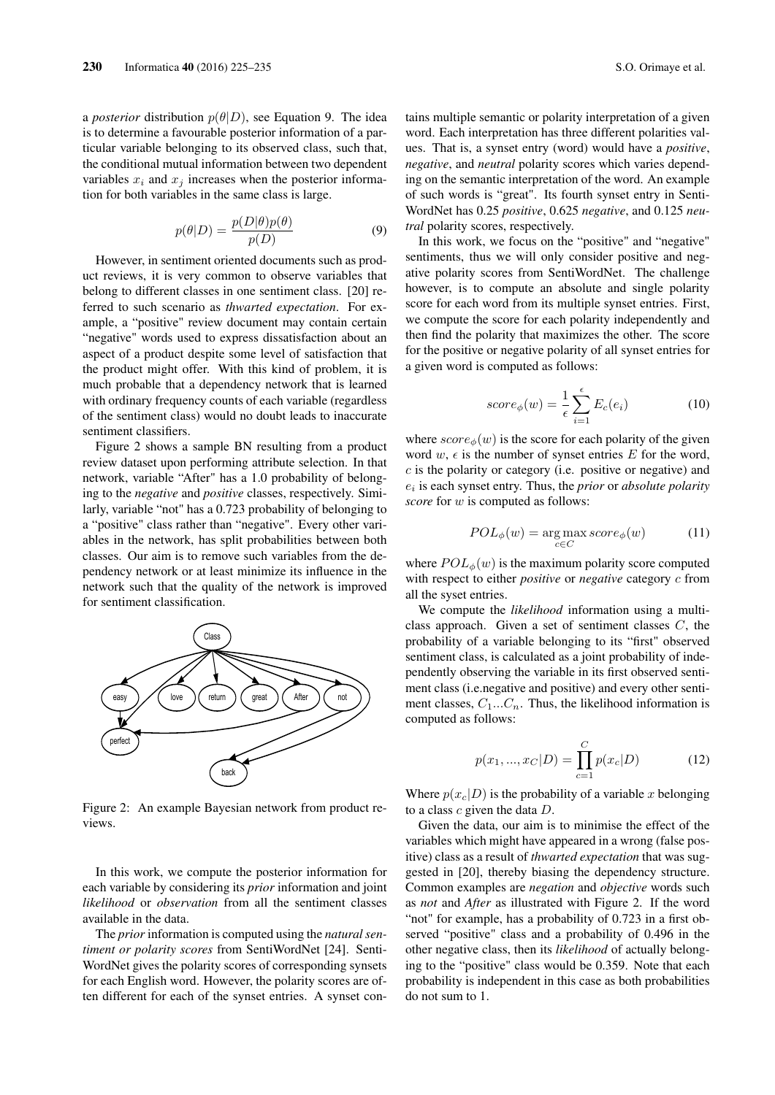a *posterior* distribution  $p(\theta|D)$ , see Equation 9. The idea is to determine a favourable posterior information of a particular variable belonging to its observed class, such that, the conditional mutual information between two dependent variables  $x_i$  and  $x_j$  increases when the posterior information for both variables in the same class is large.

$$
p(\theta|D) = \frac{p(D|\theta)p(\theta)}{p(D)}
$$
\n(9)

However, in sentiment oriented documents such as product reviews, it is very common to observe variables that belong to different classes in one sentiment class. [20] referred to such scenario as *thwarted expectation*. For example, a "positive" review document may contain certain "negative" words used to express dissatisfaction about an aspect of a product despite some level of satisfaction that the product might offer. With this kind of problem, it is much probable that a dependency network that is learned with ordinary frequency counts of each variable (regardless of the sentiment class) would no doubt leads to inaccurate sentiment classifiers.

Figure 2 shows a sample BN resulting from a product review dataset upon performing attribute selection. In that network, variable "After" has a 1.0 probability of belonging to the *negative* and *positive* classes, respectively. Similarly, variable "not" has a 0.723 probability of belonging to a "positive" class rather than "negative". Every other variables in the network, has split probabilities between both classes. Our aim is to remove such variables from the dependency network or at least minimize its influence in the network such that the quality of the network is improved for sentiment classification.



Figure 2: An example Bayesian network from product reviews.

In this work, we compute the posterior information for each variable by considering its *prior* information and joint *likelihood* or *observation* from all the sentiment classes available in the data.

The *prior* information is computed using the *natural sentiment or polarity scores* from SentiWordNet [24]. Senti-WordNet gives the polarity scores of corresponding synsets for each English word. However, the polarity scores are often different for each of the synset entries. A synset contains multiple semantic or polarity interpretation of a given word. Each interpretation has three different polarities values. That is, a synset entry (word) would have a *positive*, *negative*, and *neutral* polarity scores which varies depending on the semantic interpretation of the word. An example of such words is "great". Its fourth synset entry in Senti-WordNet has 0.25 *positive*, 0.625 *negative*, and 0.125 *neutral* polarity scores, respectively.

In this work, we focus on the "positive" and "negative" sentiments, thus we will only consider positive and negative polarity scores from SentiWordNet. The challenge however, is to compute an absolute and single polarity score for each word from its multiple synset entries. First, we compute the score for each polarity independently and then find the polarity that maximizes the other. The score for the positive or negative polarity of all synset entries for a given word is computed as follows:

$$
score_{\phi}(w) = \frac{1}{\epsilon} \sum_{i=1}^{\epsilon} E_c(e_i)
$$
 (10)

where  $score_{\phi}(w)$  is the score for each polarity of the given word  $w$ ,  $\epsilon$  is the number of synset entries E for the word,  $c$  is the polarity or category (i.e. positive or negative) and ei is each synset entry. Thus, the *prior* or *absolute polarity score* for w is computed as follows:

$$
POL_{\phi}(w) = \underset{c \in C}{\text{arg}\max} score_{\phi}(w) \tag{11}
$$

where  $POL_{\phi}(w)$  is the maximum polarity score computed with respect to either *positive* or *negative* category c from all the syset entries.

We compute the *likelihood* information using a multiclass approach. Given a set of sentiment classes  $C$ , the probability of a variable belonging to its "first" observed sentiment class, is calculated as a joint probability of independently observing the variable in its first observed sentiment class (i.e.negative and positive) and every other sentiment classes,  $C_1...C_n$ . Thus, the likelihood information is computed as follows:

$$
p(x_1, ..., x_C|D) = \prod_{c=1}^{C} p(x_c|D)
$$
 (12)

Where  $p(x_c|D)$  is the probability of a variable x belonging to a class  $c$  given the data  $D$ .

Given the data, our aim is to minimise the effect of the variables which might have appeared in a wrong (false positive) class as a result of *thwarted expectation* that was suggested in [20], thereby biasing the dependency structure. Common examples are *negation* and *objective* words such as *not* and *After* as illustrated with Figure 2. If the word "not" for example, has a probability of 0.723 in a first observed "positive" class and a probability of 0.496 in the other negative class, then its *likelihood* of actually belonging to the "positive" class would be 0.359. Note that each probability is independent in this case as both probabilities do not sum to 1.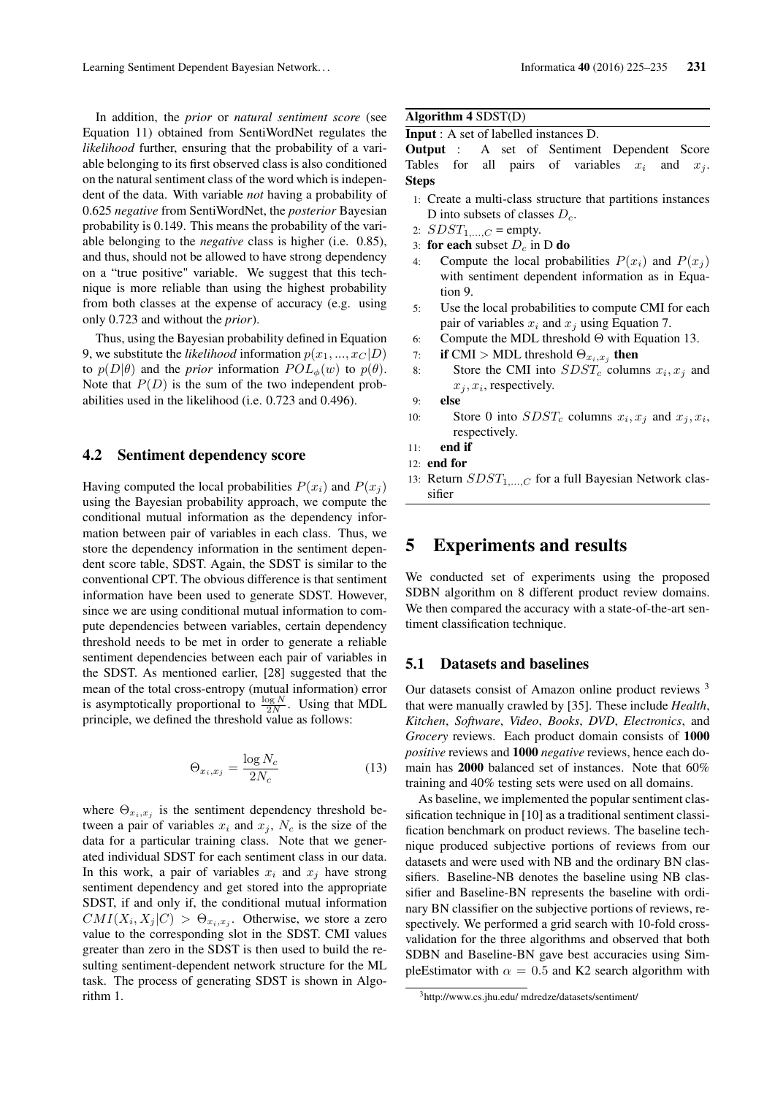In addition, the *prior* or *natural sentiment score* (see Equation 11) obtained from SentiWordNet regulates the *likelihood* further, ensuring that the probability of a variable belonging to its first observed class is also conditioned on the natural sentiment class of the word which is independent of the data. With variable *not* having a probability of 0.625 *negative* from SentiWordNet, the *posterior* Bayesian probability is 0.149. This means the probability of the variable belonging to the *negative* class is higher (i.e. 0.85), and thus, should not be allowed to have strong dependency on a "true positive" variable. We suggest that this technique is more reliable than using the highest probability from both classes at the expense of accuracy (e.g. using only 0.723 and without the *prior*).

Thus, using the Bayesian probability defined in Equation 9, we substitute the *likelihood* information  $p(x_1, ..., x_C | D)$ to  $p(D|\theta)$  and the *prior* information  $POL_{\phi}(w)$  to  $p(\theta)$ . Note that  $P(D)$  is the sum of the two independent probabilities used in the likelihood (i.e. 0.723 and 0.496).

### 4.2 Sentiment dependency score

Having computed the local probabilities  $P(x_i)$  and  $P(x_i)$ using the Bayesian probability approach, we compute the conditional mutual information as the dependency information between pair of variables in each class. Thus, we store the dependency information in the sentiment dependent score table, SDST. Again, the SDST is similar to the conventional CPT. The obvious difference is that sentiment information have been used to generate SDST. However, since we are using conditional mutual information to compute dependencies between variables, certain dependency threshold needs to be met in order to generate a reliable sentiment dependencies between each pair of variables in the SDST. As mentioned earlier, [28] suggested that the mean of the total cross-entropy (mutual information) error is asymptotically proportional to  $\frac{\log N}{2N}$ . Using that MDL principle, we defined the threshold value as follows:

$$
\Theta_{x_i, x_j} = \frac{\log N_c}{2N_c} \tag{13}
$$

where  $\Theta_{x_i,x_j}$  is the sentiment dependency threshold between a pair of variables  $x_i$  and  $x_j$ ,  $N_c$  is the size of the data for a particular training class. Note that we generated individual SDST for each sentiment class in our data. In this work, a pair of variables  $x_i$  and  $x_j$  have strong sentiment dependency and get stored into the appropriate SDST, if and only if, the conditional mutual information  $CMI(X_i, X_j|C) > \Theta_{x_i, x_j}$ . Otherwise, we store a zero value to the corresponding slot in the SDST. CMI values greater than zero in the SDST is then used to build the resulting sentiment-dependent network structure for the ML task. The process of generating SDST is shown in Algorithm 1.

### Algorithm 4 SDST(D)

```
Input : A set of labelled instances D.
```
Output : A set of Sentiment Dependent Score Tables for all pairs of variables  $x_i$  and  $x_j$ . Steps

- 1: Create a multi-class structure that partitions instances D into subsets of classes  $D_c$ .
- 2:  $S DST_{1,...,C} = \text{empty.}$
- 3: for each subset  $D_c$  in D do
- 4: Compute the local probabilities  $P(x_i)$  and  $P(x_i)$ with sentiment dependent information as in Equation 9.
- 5: Use the local probabilities to compute CMI for each pair of variables  $x_i$  and  $x_j$  using Equation 7.
- 6: Compute the MDL threshold Θ with Equation 13.
- 7: if CMI > MDL threshold  $\Theta_{x_i,x_j}$  then
- 8: Store the CMI into  $SDST_c$  columns  $x_i, x_j$  and  $x_j, x_i$ , respectively.
- 9: else
- 10: Store 0 into  $SDST_c$  columns  $x_i, x_j$  and  $x_j, x_i$ , respectively.
- 11: end if
- 12: end for
- 13: Return  $SDST_{1,...,C}$  for a full Bayesian Network classifier

# 5 Experiments and results

We conducted set of experiments using the proposed SDBN algorithm on 8 different product review domains. We then compared the accuracy with a state-of-the-art sentiment classification technique.

### 5.1 Datasets and baselines

Our datasets consist of Amazon online product reviews <sup>3</sup> that were manually crawled by [35]. These include *Health*, *Kitchen*, *Software*, *Video*, *Books*, *DVD*, *Electronics*, and *Grocery* reviews. Each product domain consists of 1000 *positive* reviews and 1000 *negative* reviews, hence each domain has 2000 balanced set of instances. Note that 60% training and 40% testing sets were used on all domains.

As baseline, we implemented the popular sentiment classification technique in [10] as a traditional sentiment classification benchmark on product reviews. The baseline technique produced subjective portions of reviews from our datasets and were used with NB and the ordinary BN classifiers. Baseline-NB denotes the baseline using NB classifier and Baseline-BN represents the baseline with ordinary BN classifier on the subjective portions of reviews, respectively. We performed a grid search with 10-fold crossvalidation for the three algorithms and observed that both SDBN and Baseline-BN gave best accuracies using SimpleEstimator with  $\alpha = 0.5$  and K2 search algorithm with

<sup>3</sup>http://www.cs.jhu.edu/ mdredze/datasets/sentiment/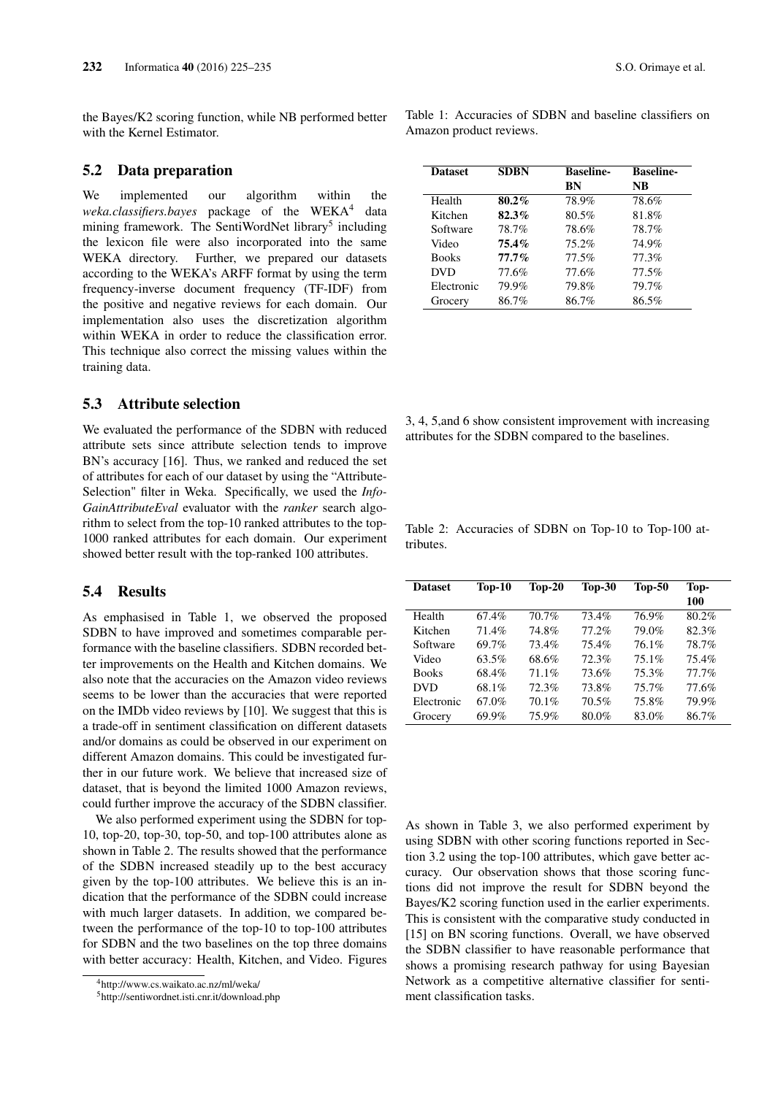the Bayes/K2 scoring function, while NB performed better with the Kernel Estimator.

### 5.2 Data preparation

We implemented our algorithm within the weka.classifiers.bayes package of the WEKA<sup>4</sup> data mining framework. The SentiWordNet library<sup>5</sup> including the lexicon file were also incorporated into the same WEKA directory. Further, we prepared our datasets according to the WEKA's ARFF format by using the term frequency-inverse document frequency (TF-IDF) from the positive and negative reviews for each domain. Our implementation also uses the discretization algorithm within WEKA in order to reduce the classification error. This technique also correct the missing values within the training data.

### 5.3 Attribute selection

We evaluated the performance of the SDBN with reduced attribute sets since attribute selection tends to improve BN's accuracy [16]. Thus, we ranked and reduced the set of attributes for each of our dataset by using the "Attribute-Selection" filter in Weka. Specifically, we used the *Info-GainAttributeEval* evaluator with the *ranker* search algorithm to select from the top-10 ranked attributes to the top-1000 ranked attributes for each domain. Our experiment showed better result with the top-ranked 100 attributes.

### 5.4 Results

As emphasised in Table 1, we observed the proposed SDBN to have improved and sometimes comparable performance with the baseline classifiers. SDBN recorded better improvements on the Health and Kitchen domains. We also note that the accuracies on the Amazon video reviews seems to be lower than the accuracies that were reported on the IMDb video reviews by [10]. We suggest that this is a trade-off in sentiment classification on different datasets and/or domains as could be observed in our experiment on different Amazon domains. This could be investigated further in our future work. We believe that increased size of dataset, that is beyond the limited 1000 Amazon reviews, could further improve the accuracy of the SDBN classifier.

We also performed experiment using the SDBN for top-10, top-20, top-30, top-50, and top-100 attributes alone as shown in Table 2. The results showed that the performance of the SDBN increased steadily up to the best accuracy given by the top-100 attributes. We believe this is an indication that the performance of the SDBN could increase with much larger datasets. In addition, we compared between the performance of the top-10 to top-100 attributes for SDBN and the two baselines on the top three domains with better accuracy: Health, Kitchen, and Video. Figures Table 1: Accuracies of SDBN and baseline classifiers on Amazon product reviews.

| <b>Dataset</b> | <b>SDBN</b> | <b>Baseline-</b> | <b>Baseline-</b> |  |
|----------------|-------------|------------------|------------------|--|
|                |             | BN               | NB               |  |
| Health         | $80.2\%$    | 78.9%            | 78.6%            |  |
| Kitchen        | 82.3%       | 80.5%            | 81.8%            |  |
| Software       | 78.7%       | 78.6%            | 78.7%            |  |
| Video          | 75.4%       | 75.2%            | 74.9%            |  |
| <b>Books</b>   | $77.7\%$    | 77.5%            | 77.3%            |  |
| <b>DVD</b>     | 77.6%       | 77.6%            | 77.5%            |  |
| Electronic     | 79.9%       | 79.8%            | 79.7%            |  |
| Grocery        | 86.7%       | 86.7%            | 86.5%            |  |

3, 4, 5,and 6 show consistent improvement with increasing attributes for the SDBN compared to the baselines.

Table 2: Accuracies of SDBN on Top-10 to Top-100 attributes.

| <b>Dataset</b> | $Top-10$ | $Top-20$ | $Top-30$ | $Top-50$ | Top-<br>100 |
|----------------|----------|----------|----------|----------|-------------|
| Health         | 67.4%    | 70.7%    | 73.4%    | 76.9%    | 80.2%       |
| Kitchen        | 71.4%    | 74.8%    | 77.2%    | 79.0%    | 82.3%       |
| Software       | 69.7%    | 73.4%    | 75.4%    | 76.1%    | 78.7%       |
| Video          | 63.5%    | 68.6%    | 72.3%    | 75.1%    | 75.4%       |
| <b>Books</b>   | 68.4%    | 71.1%    | 73.6%    | 75.3%    | 77.7%       |
| <b>DVD</b>     | 68.1%    | 72.3%    | 73.8%    | 75.7%    | 77.6%       |
| Electronic     | 67.0%    | 70.1%    | 70.5%    | 75.8%    | 79.9%       |
| Grocery        | 69.9%    | 75.9%    | 80.0%    | 83.0%    | 86.7%       |

As shown in Table 3, we also performed experiment by using SDBN with other scoring functions reported in Section 3.2 using the top-100 attributes, which gave better accuracy. Our observation shows that those scoring functions did not improve the result for SDBN beyond the Bayes/K2 scoring function used in the earlier experiments. This is consistent with the comparative study conducted in [15] on BN scoring functions. Overall, we have observed the SDBN classifier to have reasonable performance that shows a promising research pathway for using Bayesian Network as a competitive alternative classifier for sentiment classification tasks.

<sup>4</sup>http://www.cs.waikato.ac.nz/ml/weka/

<sup>5</sup>http://sentiwordnet.isti.cnr.it/download.php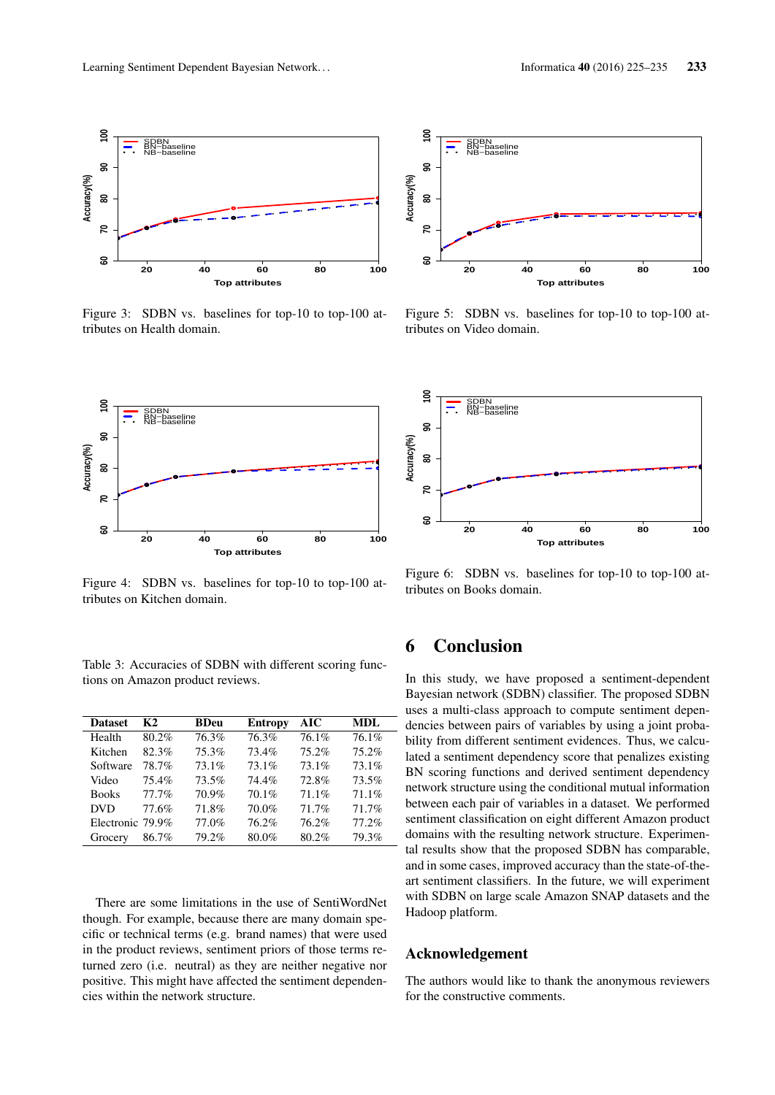

Figure 3: SDBN vs. baselines for top-10 to top-100 attributes on Health domain.



Figure 4: SDBN vs. baselines for top-10 to top-100 attributes on Kitchen domain.

Table 3: Accuracies of SDBN with different scoring functions on Amazon product reviews.

| <b>Dataset</b>   | K2    | <b>BDeu</b> | <b>Entropy</b> | AIC   | <b>MDL</b> |
|------------------|-------|-------------|----------------|-------|------------|
| Health           | 80.2% | 76.3%       | 76.3%          | 76.1% | 76.1%      |
| Kitchen          | 82.3% | 75.3%       | 73.4%          | 75.2% | 75.2%      |
| Software         | 78.7% | 73.1%       | 73.1%          | 73.1% | 73.1%      |
| Video            | 75.4% | 73.5%       | 74.4%          | 72.8% | 73.5%      |
| <b>Books</b>     | 77.7% | 70.9%       | 70.1%          | 71.1% | 71.1%      |
| <b>DVD</b>       | 77.6% | 71.8%       | 70.0%          | 71.7% | 71.7%      |
| Electronic 79.9% |       | 77.0%       | 76.2%          | 76.2% | 77.2%      |
| Grocery          | 86.7% | 79.2%       | 80.0%          | 80.2% | 79.3%      |

There are some limitations in the use of SentiWordNet though. For example, because there are many domain specific or technical terms (e.g. brand names) that were used in the product reviews, sentiment priors of those terms returned zero (i.e. neutral) as they are neither negative nor positive. This might have affected the sentiment dependen-



Figure 5: SDBN vs. baselines for top-10 to top-100 attributes on Video domain.



Figure 6: SDBN vs. baselines for top-10 to top-100 attributes on Books domain.

# 6 Conclusion

Figure 3: SOIN vs. buselines for top-10 to top-100 at the network SDRN vs. benefits for top-100 at the network structure. The network structure is not the network structure of the network structure of the network structur In this study, we have proposed a sentiment-dependent Bayesian network (SDBN) classifier. The proposed SDBN uses a multi-class approach to compute sentiment dependencies between pairs of variables by using a joint probability from different sentiment evidences. Thus, we calculated a sentiment dependency score that penalizes existing BN scoring functions and derived sentiment dependency network structure using the conditional mutual information between each pair of variables in a dataset. We performed sentiment classification on eight different Amazon product domains with the resulting network structure. Experimental results show that the proposed SDBN has comparable, and in some cases, improved accuracy than the state-of-theart sentiment classifiers. In the future, we will experiment with SDBN on large scale Amazon SNAP datasets and the Hadoop platform.

#### Acknowledgement

The authors would like to thank the anonymous reviewers for the constructive comments.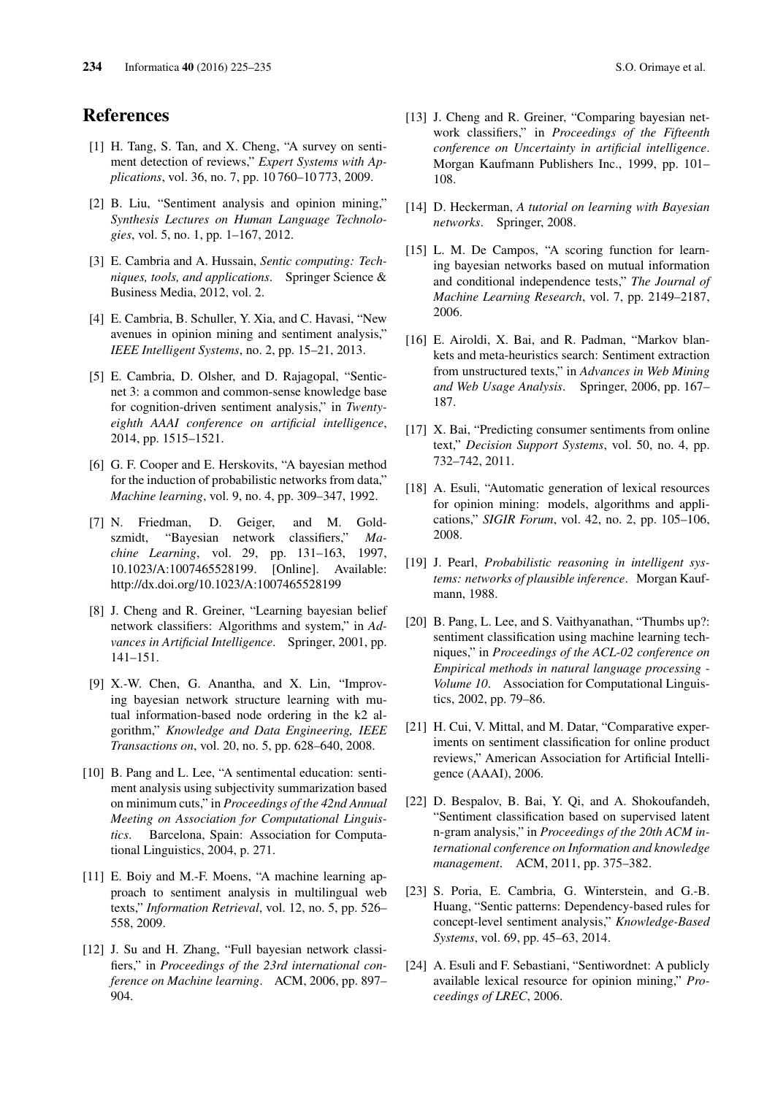# References

- [1] H. Tang, S. Tan, and X. Cheng, "A survey on sentiment detection of reviews," *Expert Systems with Applications*, vol. 36, no. 7, pp. 10 760–10 773, 2009.
- [2] B. Liu, "Sentiment analysis and opinion mining," *Synthesis Lectures on Human Language Technologies*, vol. 5, no. 1, pp. 1–167, 2012.
- [3] E. Cambria and A. Hussain, *Sentic computing: Techniques, tools, and applications*. Springer Science & Business Media, 2012, vol. 2.
- [4] E. Cambria, B. Schuller, Y. Xia, and C. Havasi, "New avenues in opinion mining and sentiment analysis," *IEEE Intelligent Systems*, no. 2, pp. 15–21, 2013.
- [5] E. Cambria, D. Olsher, and D. Rajagopal, "Senticnet 3: a common and common-sense knowledge base for cognition-driven sentiment analysis," in *Twentyeighth AAAI conference on artificial intelligence*, 2014, pp. 1515–1521.
- [6] G. F. Cooper and E. Herskovits, "A bayesian method for the induction of probabilistic networks from data," *Machine learning*, vol. 9, no. 4, pp. 309–347, 1992.
- [7] N. Friedman, D. Geiger, and M. Goldszmidt, "Bayesian network classifiers," *Machine Learning*, vol. 29, pp. 131–163, 1997, 10.1023/A:1007465528199. [Online]. Available: http://dx.doi.org/10.1023/A:1007465528199
- [8] J. Cheng and R. Greiner, "Learning bayesian belief network classifiers: Algorithms and system," in *Advances in Artificial Intelligence*. Springer, 2001, pp. 141–151.
- [9] X.-W. Chen, G. Anantha, and X. Lin, "Improving bayesian network structure learning with mutual information-based node ordering in the k2 algorithm," *Knowledge and Data Engineering, IEEE Transactions on*, vol. 20, no. 5, pp. 628–640, 2008.
- [10] B. Pang and L. Lee, "A sentimental education: sentiment analysis using subjectivity summarization based on minimum cuts," in *Proceedings of the 42nd Annual Meeting on Association for Computational Linguistics*. Barcelona, Spain: Association for Computational Linguistics, 2004, p. 271.
- [11] E. Boiy and M.-F. Moens, "A machine learning approach to sentiment analysis in multilingual web texts," *Information Retrieval*, vol. 12, no. 5, pp. 526– 558, 2009.
- [12] J. Su and H. Zhang, "Full bayesian network classifiers," in *Proceedings of the 23rd international conference on Machine learning*. ACM, 2006, pp. 897– 904.
- [13] J. Cheng and R. Greiner, "Comparing bayesian network classifiers," in *Proceedings of the Fifteenth conference on Uncertainty in artificial intelligence*. Morgan Kaufmann Publishers Inc., 1999, pp. 101– 108.
- [14] D. Heckerman, *A tutorial on learning with Bayesian networks*. Springer, 2008.
- [15] L. M. De Campos, "A scoring function for learning bayesian networks based on mutual information and conditional independence tests," *The Journal of Machine Learning Research*, vol. 7, pp. 2149–2187, 2006.
- [16] E. Airoldi, X. Bai, and R. Padman, "Markov blankets and meta-heuristics search: Sentiment extraction from unstructured texts," in *Advances in Web Mining and Web Usage Analysis*. Springer, 2006, pp. 167– 187.
- [17] X. Bai, "Predicting consumer sentiments from online text," *Decision Support Systems*, vol. 50, no. 4, pp. 732–742, 2011.
- [18] A. Esuli, "Automatic generation of lexical resources for opinion mining: models, algorithms and applications," *SIGIR Forum*, vol. 42, no. 2, pp. 105–106, 2008.
- [19] J. Pearl, *Probabilistic reasoning in intelligent systems: networks of plausible inference*. Morgan Kaufmann, 1988.
- [20] B. Pang, L. Lee, and S. Vaithyanathan, "Thumbs up?: sentiment classification using machine learning techniques," in *Proceedings of the ACL-02 conference on Empirical methods in natural language processing - Volume 10*. Association for Computational Linguistics, 2002, pp. 79–86.
- [21] H. Cui, V. Mittal, and M. Datar, "Comparative experiments on sentiment classification for online product reviews," American Association for Artificial Intelligence (AAAI), 2006.
- [22] D. Bespalov, B. Bai, Y. Qi, and A. Shokoufandeh, "Sentiment classification based on supervised latent n-gram analysis," in *Proceedings of the 20th ACM international conference on Information and knowledge management*. ACM, 2011, pp. 375–382.
- [23] S. Poria, E. Cambria, G. Winterstein, and G.-B. Huang, "Sentic patterns: Dependency-based rules for concept-level sentiment analysis," *Knowledge-Based Systems*, vol. 69, pp. 45–63, 2014.
- [24] A. Esuli and F. Sebastiani, "Sentiwordnet: A publicly available lexical resource for opinion mining," *Proceedings of LREC*, 2006.